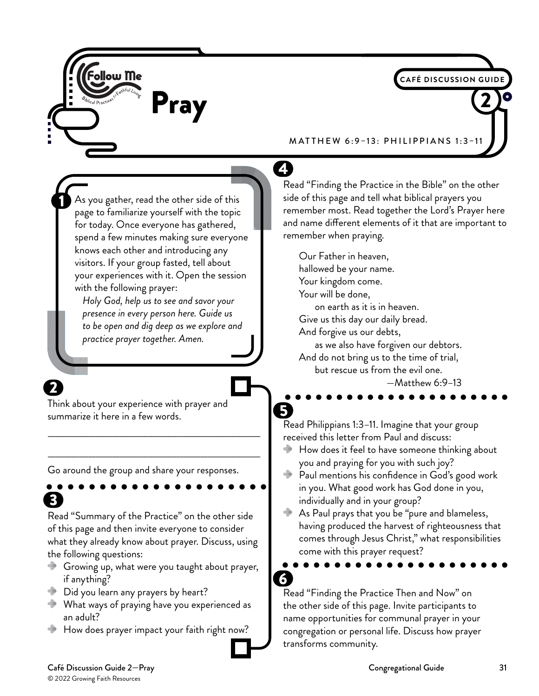

#### Café Discussion Guide 2—Pray Congregational Guide 31 © 2022 Growing Faith Resources

З